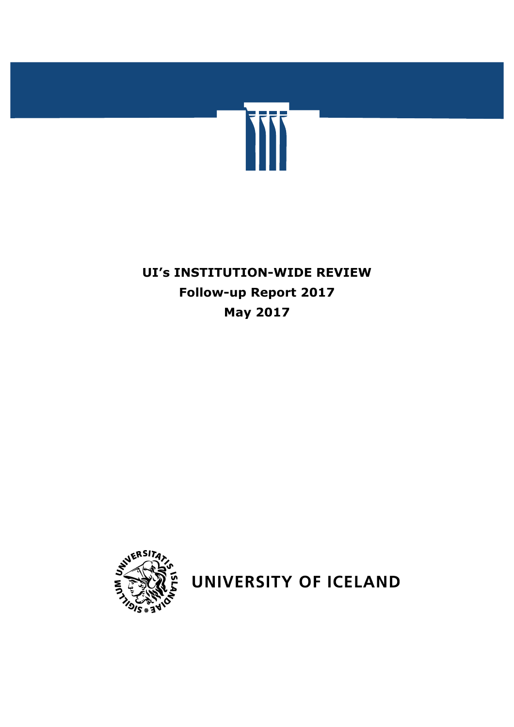

# **UI's INSTITUTION-WIDE REVIEW Follow-up Report 2017 May 2017**



UNIVERSITY OF ICELAND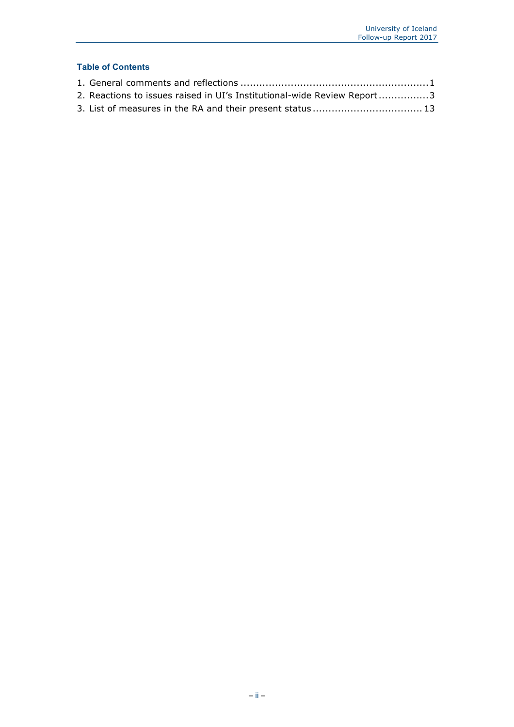## **Table of Contents**

| 2. Reactions to issues raised in UI's Institutional-wide Review Report3 |  |
|-------------------------------------------------------------------------|--|
|                                                                         |  |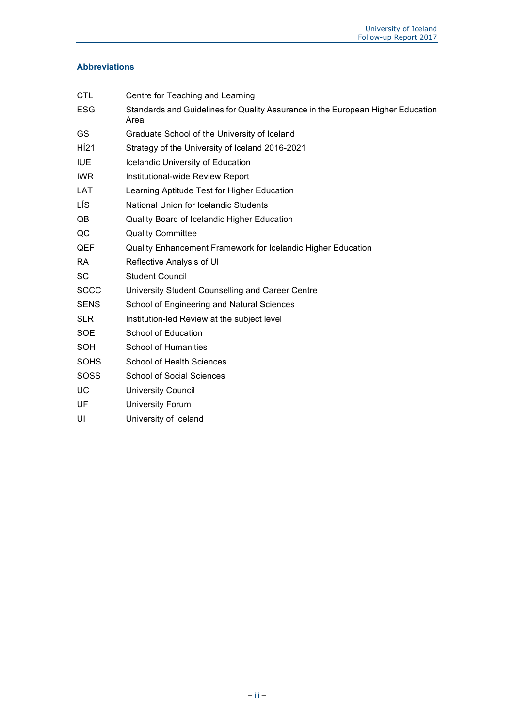## **Abbreviations**

| <b>CTL</b>  | Centre for Teaching and Learning                                                        |
|-------------|-----------------------------------------------------------------------------------------|
| <b>ESG</b>  | Standards and Guidelines for Quality Assurance in the European Higher Education<br>Area |
| GS.         | Graduate School of the University of Iceland                                            |
| HÍ21        | Strategy of the University of Iceland 2016-2021                                         |
| <b>IUE</b>  | Icelandic University of Education                                                       |
| <b>IWR</b>  | Institutional-wide Review Report                                                        |
| <b>LAT</b>  | Learning Aptitude Test for Higher Education                                             |
| LÍS.        | National Union for Icelandic Students                                                   |
| QB          | Quality Board of Icelandic Higher Education                                             |
| QC          | <b>Quality Committee</b>                                                                |
| QEF         | Quality Enhancement Framework for Icelandic Higher Education                            |
| <b>RA</b>   | Reflective Analysis of UI                                                               |
| <b>SC</b>   | <b>Student Council</b>                                                                  |
| <b>SCCC</b> | University Student Counselling and Career Centre                                        |
| <b>SENS</b> | School of Engineering and Natural Sciences                                              |
| <b>SLR</b>  | Institution-led Review at the subject level                                             |
| <b>SOE</b>  | School of Education                                                                     |
| <b>SOH</b>  | <b>School of Humanities</b>                                                             |
| <b>SOHS</b> | <b>School of Health Sciences</b>                                                        |
| SOSS        | <b>School of Social Sciences</b>                                                        |
| UC          | <b>University Council</b>                                                               |
| UF          | <b>University Forum</b>                                                                 |
| UI          | University of Iceland                                                                   |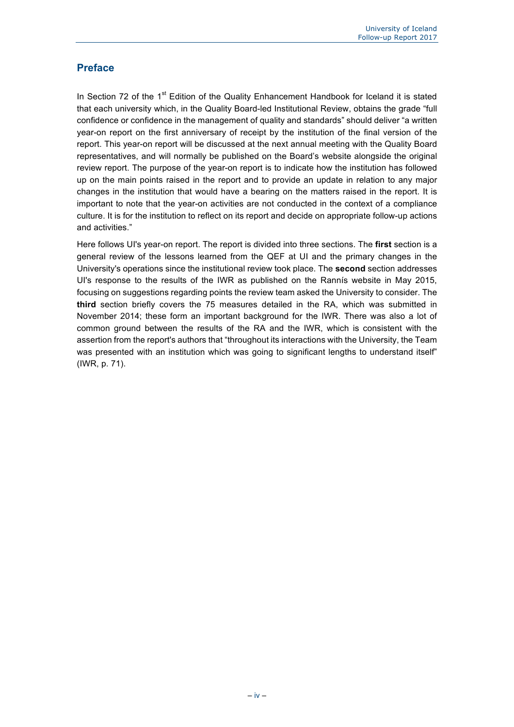## **Preface**

In Section 72 of the  $1<sup>st</sup>$  Edition of the Quality Enhancement Handbook for Iceland it is stated that each university which, in the Quality Board-led Institutional Review, obtains the grade "full confidence or confidence in the management of quality and standards" should deliver "a written year-on report on the first anniversary of receipt by the institution of the final version of the report. This year-on report will be discussed at the next annual meeting with the Quality Board representatives, and will normally be published on the Board's website alongside the original review report. The purpose of the year-on report is to indicate how the institution has followed up on the main points raised in the report and to provide an update in relation to any major changes in the institution that would have a bearing on the matters raised in the report. It is important to note that the year-on activities are not conducted in the context of a compliance culture. It is for the institution to reflect on its report and decide on appropriate follow-up actions and activities."

Here follows UI's year-on report. The report is divided into three sections. The **first** section is a general review of the lessons learned from the QEF at UI and the primary changes in the University's operations since the institutional review took place. The **second** section addresses UI's response to the results of the IWR as published on the Rannís website in May 2015, focusing on suggestions regarding points the review team asked the University to consider. The **third** section briefly covers the 75 measures detailed in the RA, which was submitted in November 2014; these form an important background for the IWR. There was also a lot of common ground between the results of the RA and the IWR, which is consistent with the assertion from the report's authors that "throughout its interactions with the University, the Team was presented with an institution which was going to significant lengths to understand itself" (IWR, p. 71).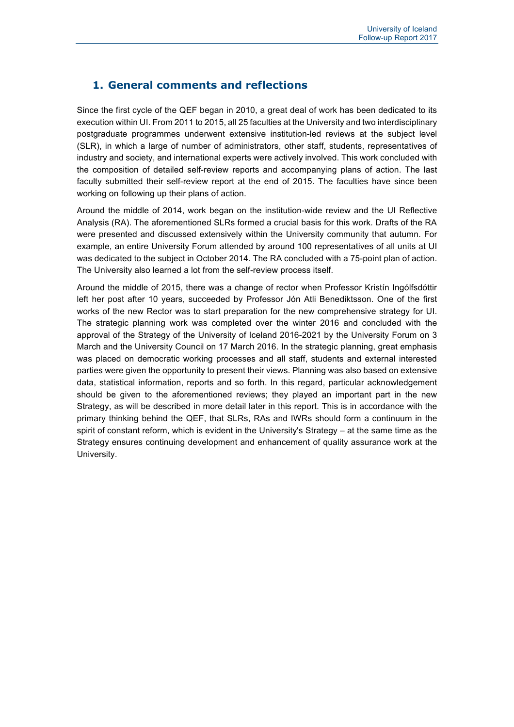# **1. General comments and reflections**

Since the first cycle of the QEF began in 2010, a great deal of work has been dedicated to its execution within UI. From 2011 to 2015, all 25 faculties at the University and two interdisciplinary postgraduate programmes underwent extensive institution-led reviews at the subject level (SLR), in which a large of number of administrators, other staff, students, representatives of industry and society, and international experts were actively involved. This work concluded with the composition of detailed self-review reports and accompanying plans of action. The last faculty submitted their self-review report at the end of 2015. The faculties have since been working on following up their plans of action.

Around the middle of 2014, work began on the institution-wide review and the UI Reflective Analysis (RA). The aforementioned SLRs formed a crucial basis for this work. Drafts of the RA were presented and discussed extensively within the University community that autumn. For example, an entire University Forum attended by around 100 representatives of all units at UI was dedicated to the subject in October 2014. The RA concluded with a 75-point plan of action. The University also learned a lot from the self-review process itself.

Around the middle of 2015, there was a change of rector when Professor Kristín Ingólfsdóttir left her post after 10 years, succeeded by Professor Jón Atli Benediktsson. One of the first works of the new Rector was to start preparation for the new comprehensive strategy for UI. The strategic planning work was completed over the winter 2016 and concluded with the approval of the Strategy of the University of Iceland 2016-2021 by the University Forum on 3 March and the University Council on 17 March 2016. In the strategic planning, great emphasis was placed on democratic working processes and all staff, students and external interested parties were given the opportunity to present their views. Planning was also based on extensive data, statistical information, reports and so forth. In this regard, particular acknowledgement should be given to the aforementioned reviews; they played an important part in the new Strategy, as will be described in more detail later in this report. This is in accordance with the primary thinking behind the QEF, that SLRs, RAs and IWRs should form a continuum in the spirit of constant reform, which is evident in the University's Strategy – at the same time as the Strategy ensures continuing development and enhancement of quality assurance work at the University.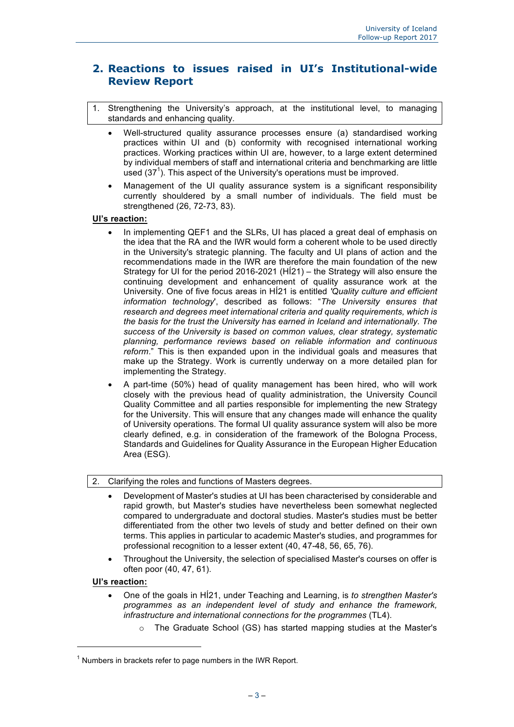# **2. Reactions to issues raised in UI's Institutional-wide Review Report**

- 1. Strengthening the University's approach, at the institutional level, to managing standards and enhancing quality.
	- Well-structured quality assurance processes ensure (a) standardised working practices within UI and (b) conformity with recognised international working practices. Working practices within UI are, however, to a large extent determined by individual members of staff and international criteria and benchmarking are little used  $(37<sup>1</sup>)$ . This aspect of the University's operations must be improved.
	- Management of the UI quality assurance system is a significant responsibility currently shouldered by a small number of individuals. The field must be strengthened (26, 72-73, 83).

#### **UI's reaction:**

- In implementing QEF1 and the SLRs, UI has placed a great deal of emphasis on the idea that the RA and the IWR would form a coherent whole to be used directly in the University's strategic planning. The faculty and UI plans of action and the recommendations made in the IWR are therefore the main foundation of the new Strategy for UI for the period 2016-2021 (HÍ21) – the Strategy will also ensure the continuing development and enhancement of quality assurance work at the University. One of five focus areas in HÍ21 is entitled *'Quality culture and efficient information technology*', described as follows: "*The University ensures that research and degrees meet international criteria and quality requirements, which is the basis for the trust the University has earned in Iceland and internationally. The success of the University is based on common values, clear strategy, systematic planning, performance reviews based on reliable information and continuous reform*." This is then expanded upon in the individual goals and measures that make up the Strategy. Work is currently underway on a more detailed plan for implementing the Strategy.
- A part-time (50%) head of quality management has been hired, who will work closely with the previous head of quality administration, the University Council Quality Committee and all parties responsible for implementing the new Strategy for the University. This will ensure that any changes made will enhance the quality of University operations. The formal UI quality assurance system will also be more clearly defined, e.g. in consideration of the framework of the Bologna Process, Standards and Guidelines for Quality Assurance in the European Higher Education Area (ESG).

#### 2. Clarifying the roles and functions of Masters degrees.

- Development of Master's studies at UI has been characterised by considerable and rapid growth, but Master's studies have nevertheless been somewhat neglected compared to undergraduate and doctoral studies. Master's studies must be better differentiated from the other two levels of study and better defined on their own terms. This applies in particular to academic Master's studies, and programmes for professional recognition to a lesser extent (40, 47-48, 56, 65, 76).
- Throughout the University, the selection of specialised Master's courses on offer is often poor (40, 47, 61).

#### **UI's reaction:**

ł

- One of the goals in HÍ21, under Teaching and Learning, is *to strengthen Master's programmes as an independent level of study and enhance the framework, infrastructure and international connections for the programmes* (TL4).
	- The Graduate School (GS) has started mapping studies at the Master's

 $1$  Numbers in brackets refer to page numbers in the IWR Report.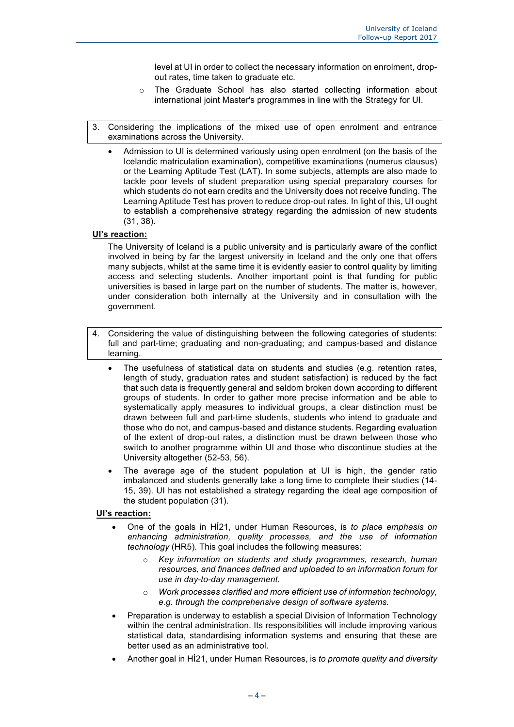level at UI in order to collect the necessary information on enrolment, dropout rates, time taken to graduate etc.

- o The Graduate School has also started collecting information about international joint Master's programmes in line with the Strategy for UI.
- 3. Considering the implications of the mixed use of open enrolment and entrance examinations across the University.
	- Admission to UI is determined variously using open enrolment (on the basis of the Icelandic matriculation examination), competitive examinations (numerus clausus) or the Learning Aptitude Test (LAT). In some subjects, attempts are also made to tackle poor levels of student preparation using special preparatory courses for which students do not earn credits and the University does not receive funding. The Learning Aptitude Test has proven to reduce drop-out rates. In light of this, UI ought to establish a comprehensive strategy regarding the admission of new students (31, 38).

#### **UI's reaction:**

The University of Iceland is a public university and is particularly aware of the conflict involved in being by far the largest university in Iceland and the only one that offers many subjects, whilst at the same time it is evidently easier to control quality by limiting access and selecting students. Another important point is that funding for public universities is based in large part on the number of students. The matter is, however, under consideration both internally at the University and in consultation with the government.

- Considering the value of distinguishing between the following categories of students: full and part-time; graduating and non-graduating; and campus-based and distance learning.
	- The usefulness of statistical data on students and studies (e.g. retention rates, length of study, graduation rates and student satisfaction) is reduced by the fact that such data is frequently general and seldom broken down according to different groups of students. In order to gather more precise information and be able to systematically apply measures to individual groups, a clear distinction must be drawn between full and part-time students, students who intend to graduate and those who do not, and campus-based and distance students. Regarding evaluation of the extent of drop-out rates, a distinction must be drawn between those who switch to another programme within UI and those who discontinue studies at the University altogether (52-53, 56).
	- The average age of the student population at UI is high, the gender ratio imbalanced and students generally take a long time to complete their studies (14- 15, 39). UI has not established a strategy regarding the ideal age composition of the student population (31).

- One of the goals in HÍ21, under Human Resources, is *to place emphasis on enhancing administration, quality processes, and the use of information technology* (HR5). This goal includes the following measures:
	- o *Key information on students and study programmes, research, human resources, and finances defined and uploaded to an information forum for use in day-to-day management.*
	- o *Work processes clarified and more efficient use of information technology, e.g. through the comprehensive design of software systems.*
- Preparation is underway to establish a special Division of Information Technology within the central administration. Its responsibilities will include improving various statistical data, standardising information systems and ensuring that these are better used as an administrative tool.
- Another goal in HÍ21, under Human Resources, is *to promote quality and diversity*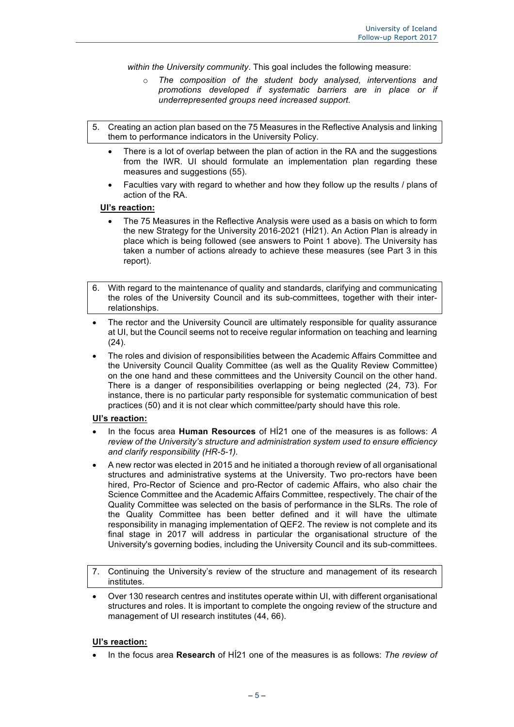*within the University community*. This goal includes the following measure:

- The composition of the student body analysed, interventions and *promotions developed if systematic barriers are in place or if underrepresented groups need increased support.*
- 5. Creating an action plan based on the 75 Measures in the Reflective Analysis and linking them to performance indicators in the University Policy.
	- There is a lot of overlap between the plan of action in the RA and the suggestions from the IWR. UI should formulate an implementation plan regarding these measures and suggestions (55).
	- Faculties vary with regard to whether and how they follow up the results / plans of action of the RA.

#### **UI's reaction:**

- The 75 Measures in the Reflective Analysis were used as a basis on which to form the new Strategy for the University 2016-2021 (HÍ21). An Action Plan is already in place which is being followed (see answers to Point 1 above). The University has taken a number of actions already to achieve these measures (see Part 3 in this report).
- 6. With regard to the maintenance of quality and standards, clarifying and communicating the roles of the University Council and its sub-committees, together with their interrelationships.
- The rector and the University Council are ultimately responsible for quality assurance at UI, but the Council seems not to receive regular information on teaching and learning (24).
- The roles and division of responsibilities between the Academic Affairs Committee and the University Council Quality Committee (as well as the Quality Review Committee) on the one hand and these committees and the University Council on the other hand. There is a danger of responsibilities overlapping or being neglected (24, 73). For instance, there is no particular party responsible for systematic communication of best practices (50) and it is not clear which committee/party should have this role.

#### **UI's reaction:**

- In the focus area **Human Resources** of HÍ21 one of the measures is as follows: *A review of the University's structure and administration system used to ensure efficiency and clarify responsibility (HR-5-1).*
- A new rector was elected in 2015 and he initiated a thorough review of all organisational structures and administrative systems at the University. Two pro-rectors have been hired, Pro-Rector of Science and pro-Rector of cademic Affairs, who also chair the Science Committee and the Academic Affairs Committee, respectively. The chair of the Quality Committee was selected on the basis of performance in the SLRs. The role of the Quality Committee has been better defined and it will have the ultimate responsibility in managing implementation of QEF2. The review is not complete and its final stage in 2017 will address in particular the organisational structure of the University's governing bodies, including the University Council and its sub-committees.
- 7. Continuing the University's review of the structure and management of its research institutes.
- Over 130 research centres and institutes operate within UI, with different organisational structures and roles. It is important to complete the ongoing review of the structure and management of UI research institutes (44, 66).

#### **UI's reaction:**

• In the focus area **Research** of HÍ21 one of the measures is as follows: *The review of*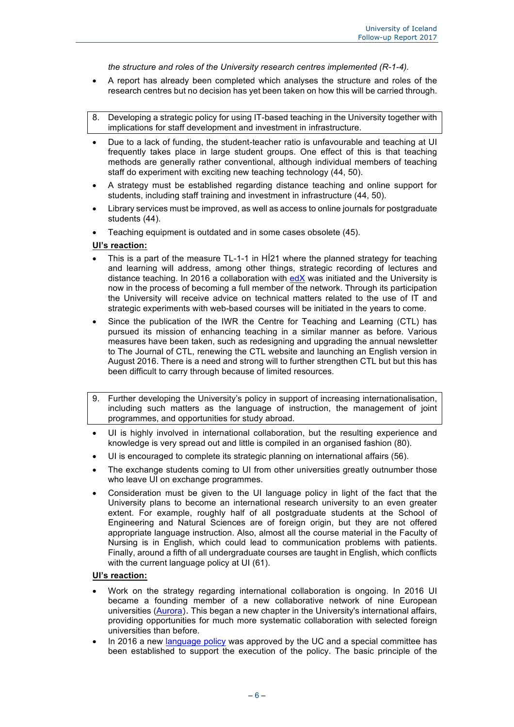*the structure and roles of the University research centres implemented (R-1-4).* 

- A report has already been completed which analyses the structure and roles of the research centres but no decision has yet been taken on how this will be carried through.
- 8. Developing a strategic policy for using IT-based teaching in the University together with implications for staff development and investment in infrastructure.
- Due to a lack of funding, the student-teacher ratio is unfavourable and teaching at UI frequently takes place in large student groups. One effect of this is that teaching methods are generally rather conventional, although individual members of teaching staff do experiment with exciting new teaching technology (44, 50).
- A strategy must be established regarding distance teaching and online support for students, including staff training and investment in infrastructure (44, 50).
- Library services must be improved, as well as access to online journals for postgraduate students (44).
- Teaching equipment is outdated and in some cases obsolete (45).

#### **UI's reaction:**

- This is a part of the measure TL-1-1 in HÍ21 where the planned strategy for teaching and learning will address, among other things, strategic recording of lectures and distance teaching. In 2016 a collaboration with edX was initiated and the University is now in the process of becoming a full member of the network. Through its participation the University will receive advice on technical matters related to the use of IT and strategic experiments with web-based courses will be initiated in the years to come.
- Since the publication of the IWR the Centre for Teaching and Learning (CTL) has pursued its mission of enhancing teaching in a similar manner as before. Various measures have been taken, such as redesigning and upgrading the annual newsletter to The Journal of CTL, renewing the CTL website and launching an English version in August 2016. There is a need and strong will to further strengthen CTL but but this has been difficult to carry through because of limited resources.
- 9. Further developing the University's policy in support of increasing internationalisation, including such matters as the language of instruction, the management of joint programmes, and opportunities for study abroad.
- UI is highly involved in international collaboration, but the resulting experience and knowledge is very spread out and little is compiled in an organised fashion (80).
- UI is encouraged to complete its strategic planning on international affairs (56).
- The exchange students coming to UI from other universities greatly outnumber those who leave UI on exchange programmes.
- Consideration must be given to the UI language policy in light of the fact that the University plans to become an international research university to an even greater extent. For example, roughly half of all postgraduate students at the School of Engineering and Natural Sciences are of foreign origin, but they are not offered appropriate language instruction. Also, almost all the course material in the Faculty of Nursing is in English, which could lead to communication problems with patients. Finally, around a fifth of all undergraduate courses are taught in English, which conflicts with the current language policy at UI (61).

- Work on the strategy regarding international collaboration is ongoing. In 2016 UI became a founding member of a new collaborative network of nine European universities (Aurora). This began a new chapter in the University's international affairs, providing opportunities for much more systematic collaboration with selected foreign universities than before.
- In 2016 a new language policy was approved by the UC and a special committee has been established to support the execution of the policy. The basic principle of the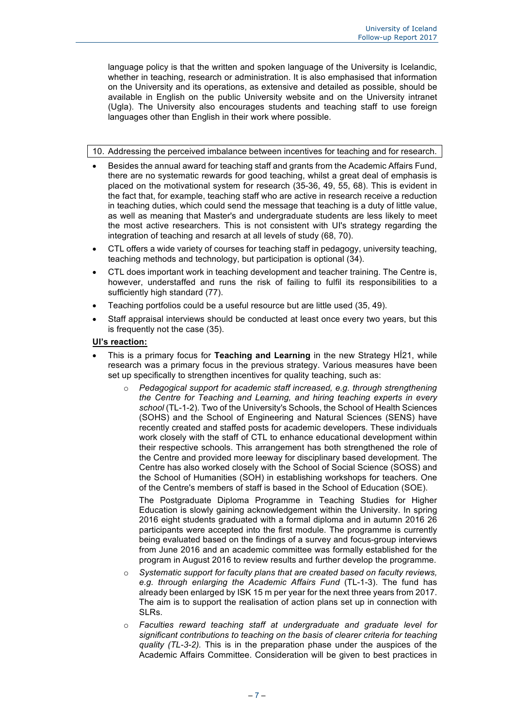language policy is that the written and spoken language of the University is Icelandic, whether in teaching, research or administration. It is also emphasised that information on the University and its operations, as extensive and detailed as possible, should be available in English on the public University website and on the University intranet (Ugla). The University also encourages students and teaching staff to use foreign languages other than English in their work where possible.

#### 10. Addressing the perceived imbalance between incentives for teaching and for research.

- Besides the annual award for teaching staff and grants from the Academic Affairs Fund, there are no systematic rewards for good teaching, whilst a great deal of emphasis is placed on the motivational system for research (35-36, 49, 55, 68). This is evident in the fact that, for example, teaching staff who are active in research receive a reduction in teaching duties, which could send the message that teaching is a duty of little value, as well as meaning that Master's and undergraduate students are less likely to meet the most active researchers. This is not consistent with UI's strategy regarding the integration of teaching and resarch at all levels of study (68, 70).
- CTL offers a wide variety of courses for teaching staff in pedagogy, university teaching, teaching methods and technology, but participation is optional (34).
- CTL does important work in teaching development and teacher training. The Centre is, however, understaffed and runs the risk of failing to fulfil its responsibilities to a sufficiently high standard (77).
- Teaching portfolios could be a useful resource but are little used (35, 49).
- Staff appraisal interviews should be conducted at least once every two years, but this is frequently not the case (35).

#### **UI's reaction:**

- This is a primary focus for **Teaching and Learning** in the new Strategy HÍ21, while research was a primary focus in the previous strategy. Various measures have been set up specifically to strengthen incentives for quality teaching, such as:
	- o *Pedagogical support for academic staff increased, e.g. through strengthening the Centre for Teaching and Learning, and hiring teaching experts in every school* (TL-1-2). Two of the University's Schools, the School of Health Sciences (SOHS) and the School of Engineering and Natural Sciences (SENS) have recently created and staffed posts for academic developers. These individuals work closely with the staff of CTL to enhance educational development within their respective schools. This arrangement has both strengthened the role of the Centre and provided more leeway for disciplinary based development. The Centre has also worked closely with the School of Social Science (SOSS) and the School of Humanities (SOH) in establishing workshops for teachers. One of the Centre's members of staff is based in the School of Education (SOE).

The Postgraduate Diploma Programme in Teaching Studies for Higher Education is slowly gaining acknowledgement within the University. In spring 2016 eight students graduated with a formal diploma and in autumn 2016 26 participants were accepted into the first module. The programme is currently being evaluated based on the findings of a survey and focus-group interviews from June 2016 and an academic committee was formally established for the program in August 2016 to review results and further develop the programme.

- o *Systematic support for faculty plans that are created based on faculty reviews, e.g. through enlarging the Academic Affairs Fund* (TL-1-3). The fund has already been enlarged by ISK 15 m per year for the next three years from 2017. The aim is to support the realisation of action plans set up in connection with SLRs.
- o *Faculties reward teaching staff at undergraduate and graduate level for significant contributions to teaching on the basis of clearer criteria for teaching quality (TL-3-2).* This is in the preparation phase under the auspices of the Academic Affairs Committee. Consideration will be given to best practices in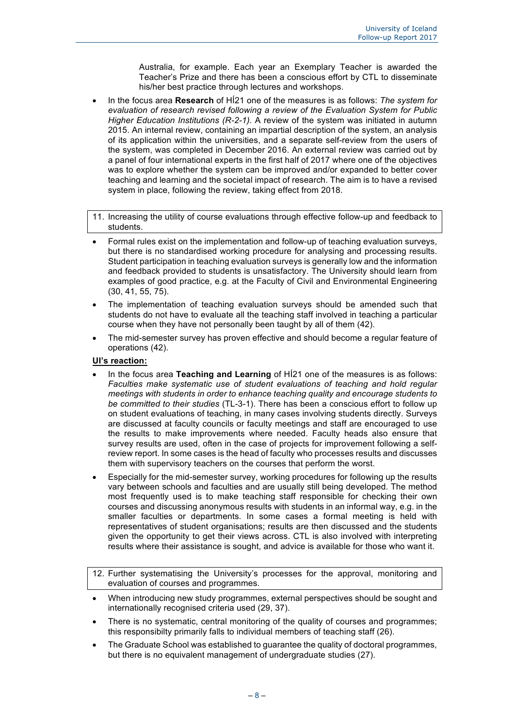Australia, for example. Each year an Exemplary Teacher is awarded the Teacher's Prize and there has been a conscious effort by CTL to disseminate his/her best practice through lectures and workshops.

• In the focus area **Research** of HÍ21 one of the measures is as follows: *The system for evaluation of research revised following a review of the Evaluation System for Public Higher Education Institutions (R-2-1).* A review of the system was initiated in autumn 2015. An internal review, containing an impartial description of the system, an analysis of its application within the universities, and a separate self-review from the users of the system, was completed in December 2016. An external review was carried out by a panel of four international experts in the first half of 2017 where one of the objectives was to explore whether the system can be improved and/or expanded to better cover teaching and learning and the societal impact of research. The aim is to have a revised system in place, following the review, taking effect from 2018.

11. Increasing the utility of course evaluations through effective follow-up and feedback to students.

- Formal rules exist on the implementation and follow-up of teaching evaluation surveys, but there is no standardised working procedure for analysing and processing results. Student participation in teaching evaluation surveys is generally low and the information and feedback provided to students is unsatisfactory. The University should learn from examples of good practice, e.g. at the Faculty of Civil and Environmental Engineering (30, 41, 55, 75).
- The implementation of teaching evaluation surveys should be amended such that students do not have to evaluate all the teaching staff involved in teaching a particular course when they have not personally been taught by all of them (42).
- The mid-semester survey has proven effective and should become a regular feature of operations (42).

- In the focus area **Teaching and Learning** of HÍ21 one of the measures is as follows: *Faculties make systematic use of student evaluations of teaching and hold regular meetings with students in order to enhance teaching quality and encourage students to be committed to their studies* (TL-3-1). There has been a conscious effort to follow up on student evaluations of teaching, in many cases involving students directly. Surveys are discussed at faculty councils or faculty meetings and staff are encouraged to use the results to make improvements where needed. Faculty heads also ensure that survey results are used, often in the case of projects for improvement following a selfreview report. In some cases is the head of faculty who processes results and discusses them with supervisory teachers on the courses that perform the worst.
- Especially for the mid-semester survey, working procedures for following up the results vary between schools and faculties and are usually still being developed. The method most frequently used is to make teaching staff responsible for checking their own courses and discussing anonymous results with students in an informal way, e.g. in the smaller faculties or departments. In some cases a formal meeting is held with representatives of student organisations; results are then discussed and the students given the opportunity to get their views across. CTL is also involved with interpreting results where their assistance is sought, and advice is available for those who want it.
- 12. Further systematising the University's processes for the approval, monitoring and evaluation of courses and programmes.
- When introducing new study programmes, external perspectives should be sought and internationally recognised criteria used (29, 37).
- There is no systematic, central monitoring of the quality of courses and programmes; this responsibilty primarily falls to individual members of teaching staff (26).
- The Graduate School was established to guarantee the quality of doctoral programmes, but there is no equivalent management of undergraduate studies (27).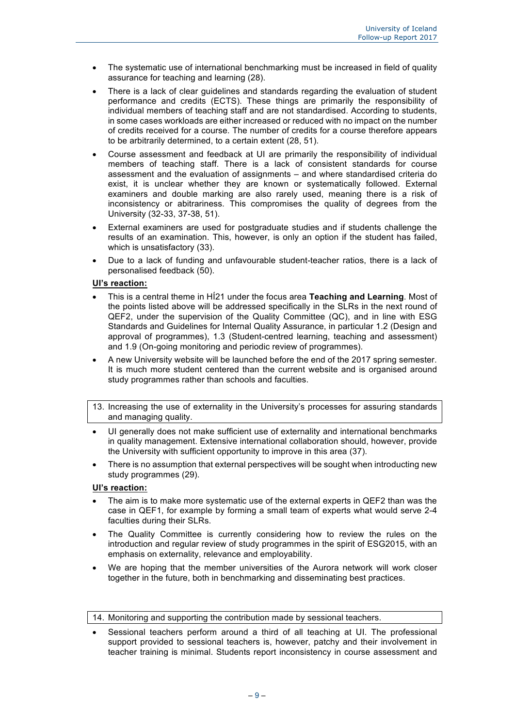- The systematic use of international benchmarking must be increased in field of quality assurance for teaching and learning (28).
- There is a lack of clear guidelines and standards regarding the evaluation of student performance and credits (ECTS). These things are primarily the responsibility of individual members of teaching staff and are not standardised. According to students, in some cases workloads are either increased or reduced with no impact on the number of credits received for a course. The number of credits for a course therefore appears to be arbitrarily determined, to a certain extent (28, 51).
- Course assessment and feedback at UI are primarily the responsibility of individual members of teaching staff. There is a lack of consistent standards for course assessment and the evaluation of assignments – and where standardised criteria do exist, it is unclear whether they are known or systematically followed. External examiners and double marking are also rarely used, meaning there is a risk of inconsistency or abitrariness. This compromises the quality of degrees from the University (32-33, 37-38, 51).
- External examiners are used for postgraduate studies and if students challenge the results of an examination. This, however, is only an option if the student has failed, which is unsatisfactory (33).
- Due to a lack of funding and unfavourable student-teacher ratios, there is a lack of personalised feedback (50).

#### **UI's reaction:**

- This is a central theme in HÍ21 under the focus area **Teaching and Learning**. Most of the points listed above will be addressed specifically in the SLRs in the next round of QEF2, under the supervision of the Quality Committee (QC), and in line with ESG Standards and Guidelines for Internal Quality Assurance, in particular 1.2 (Design and approval of programmes), 1.3 (Student-centred learning, teaching and assessment) and 1.9 (On-going monitoring and periodic review of programmes).
- A new University website will be launched before the end of the 2017 spring semester. It is much more student centered than the current website and is organised around study programmes rather than schools and faculties.
- 13. Increasing the use of externality in the University's processes for assuring standards and managing quality.
- UI generally does not make sufficient use of externality and international benchmarks in quality management. Extensive international collaboration should, however, provide the University with sufficient opportunity to improve in this area (37).
- There is no assumption that external perspectives will be sought when introducting new study programmes (29).

#### **UI's reaction:**

- The aim is to make more systematic use of the external experts in QEF2 than was the case in QEF1, for example by forming a small team of experts what would serve 2-4 faculties during their SLRs.
- The Quality Committee is currently considering how to review the rules on the introduction and regular review of study programmes in the spirit of ESG2015, with an emphasis on externality, relevance and employability.
- We are hoping that the member universities of the Aurora network will work closer together in the future, both in benchmarking and disseminating best practices.

14. Monitoring and supporting the contribution made by sessional teachers.

• Sessional teachers perform around a third of all teaching at UI. The professional support provided to sessional teachers is, however, patchy and their involvement in teacher training is minimal. Students report inconsistency in course assessment and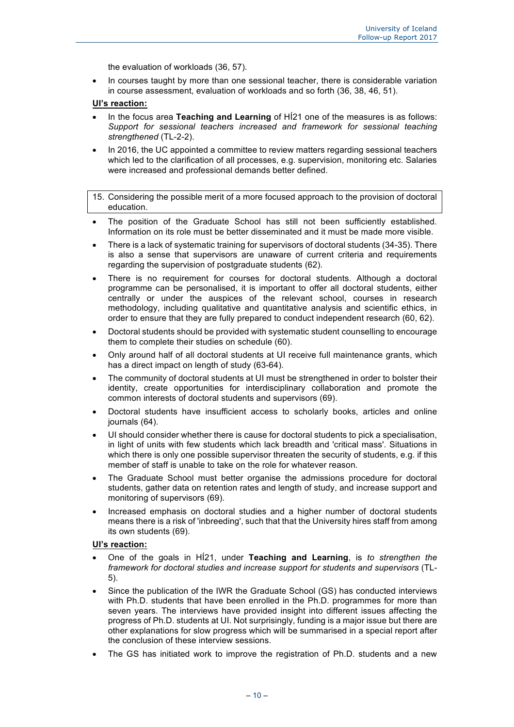the evaluation of workloads (36, 57).

• In courses taught by more than one sessional teacher, there is considerable variation in course assessment, evaluation of workloads and so forth (36, 38, 46, 51).

#### **UI's reaction:**

- In the focus area **Teaching and Learning** of HÍ21 one of the measures is as follows: *Support for sessional teachers increased and framework for sessional teaching strengthened* (TL-2-2).
- In 2016, the UC appointed a committee to review matters regarding sessional teachers which led to the clarification of all processes, e.g. supervision, monitoring etc. Salaries were increased and professional demands better defined.

15. Considering the possible merit of a more focused approach to the provision of doctoral education.

- The position of the Graduate School has still not been sufficiently established. Information on its role must be better disseminated and it must be made more visible.
- There is a lack of systematic training for supervisors of doctoral students (34-35). There is also a sense that supervisors are unaware of current criteria and requirements regarding the supervision of postgraduate students (62).
- There is no requirement for courses for doctoral students. Although a doctoral programme can be personalised, it is important to offer all doctoral students, either centrally or under the auspices of the relevant school, courses in research methodology, including qualitative and quantitative analysis and scientific ethics, in order to ensure that they are fully prepared to conduct independent research (60, 62).
- Doctoral students should be provided with systematic student counselling to encourage them to complete their studies on schedule (60).
- Only around half of all doctoral students at UI receive full maintenance grants, which has a direct impact on length of study (63-64).
- The community of doctoral students at UI must be strengthened in order to bolster their identity, create opportunities for interdisciplinary collaboration and promote the common interests of doctoral students and supervisors (69).
- Doctoral students have insufficient access to scholarly books, articles and online iournals (64).
- UI should consider whether there is cause for doctoral students to pick a specialisation, in light of units with few students which lack breadth and 'critical mass'. Situations in which there is only one possible supervisor threaten the security of students, e.g. if this member of staff is unable to take on the role for whatever reason.
- The Graduate School must better organise the admissions procedure for doctoral students, gather data on retention rates and length of study, and increase support and monitoring of supervisors (69).
- Increased emphasis on doctoral studies and a higher number of doctoral students means there is a risk of 'inbreeding', such that that the University hires staff from among its own students (69).

- One of the goals in HÍ21, under **Teaching and Learning**, is *to strengthen the framework for doctoral studies and increase support for students and supervisors* (TL-5).
- Since the publication of the IWR the Graduate School (GS) has conducted interviews with Ph.D. students that have been enrolled in the Ph.D. programmes for more than seven years. The interviews have provided insight into different issues affecting the progress of Ph.D. students at UI. Not surprisingly, funding is a major issue but there are other explanations for slow progress which will be summarised in a special report after the conclusion of these interview sessions.
- The GS has initiated work to improve the registration of Ph.D. students and a new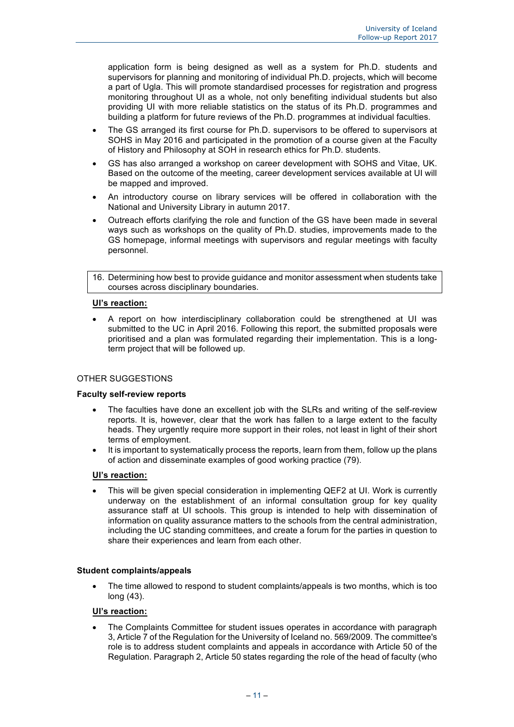application form is being designed as well as a system for Ph.D. students and supervisors for planning and monitoring of individual Ph.D. projects, which will become a part of Ugla. This will promote standardised processes for registration and progress monitoring throughout UI as a whole, not only benefiting individual students but also providing UI with more reliable statistics on the status of its Ph.D. programmes and building a platform for future reviews of the Ph.D. programmes at individual faculties.

- The GS arranged its first course for Ph.D. supervisors to be offered to supervisors at SOHS in May 2016 and participated in the promotion of a course given at the Faculty of History and Philosophy at SOH in research ethics for Ph.D. students.
- GS has also arranged a workshop on career development with SOHS and Vitae, UK. Based on the outcome of the meeting, career development services available at UI will be mapped and improved.
- An introductory course on library services will be offered in collaboration with the National and University Library in autumn 2017.
- Outreach efforts clarifying the role and function of the GS have been made in several ways such as workshops on the quality of Ph.D. studies, improvements made to the GS homepage, informal meetings with supervisors and regular meetings with faculty personnel.

16. Determining how best to provide guidance and monitor assessment when students take courses across disciplinary boundaries.

#### **UI's reaction:**

• A report on how interdisciplinary collaboration could be strengthened at UI was submitted to the UC in April 2016. Following this report, the submitted proposals were prioritised and a plan was formulated regarding their implementation. This is a longterm project that will be followed up.

#### OTHER SUGGESTIONS

#### **Faculty self-review reports**

- The faculties have done an excellent job with the SLRs and writing of the self-review reports. It is, however, clear that the work has fallen to a large extent to the faculty heads. They urgently require more support in their roles, not least in light of their short terms of employment.
- It is important to systematically process the reports, learn from them, follow up the plans of action and disseminate examples of good working practice (79).

#### **UI's reaction:**

• This will be given special consideration in implementing QEF2 at UI. Work is currently underway on the establishment of an informal consultation group for key quality assurance staff at UI schools. This group is intended to help with dissemination of information on quality assurance matters to the schools from the central administration, including the UC standing committees, and create a forum for the parties in question to share their experiences and learn from each other.

#### **Student complaints/appeals**

• The time allowed to respond to student complaints/appeals is two months, which is too long (43).

#### **UI's reaction:**

• The Complaints Committee for student issues operates in accordance with paragraph 3, Article 7 of the Regulation for the University of Iceland no. 569/2009. The committee's role is to address student complaints and appeals in accordance with Article 50 of the Regulation. Paragraph 2, Article 50 states regarding the role of the head of faculty (who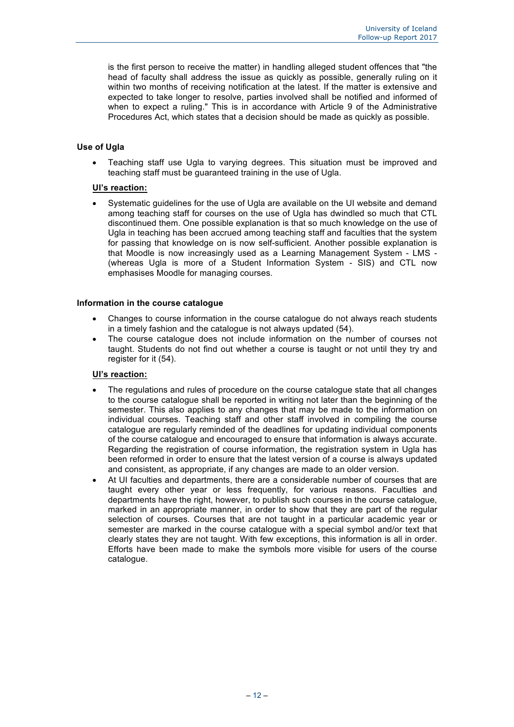is the first person to receive the matter) in handling alleged student offences that "the head of faculty shall address the issue as quickly as possible, generally ruling on it within two months of receiving notification at the latest. If the matter is extensive and expected to take longer to resolve, parties involved shall be notified and informed of when to expect a ruling." This is in accordance with Article 9 of the Administrative Procedures Act, which states that a decision should be made as quickly as possible.

### **Use of Ugla**

• Teaching staff use Ugla to varying degrees. This situation must be improved and teaching staff must be guaranteed training in the use of Ugla.

#### **UI's reaction:**

• Systematic guidelines for the use of Ugla are available on the UI website and demand among teaching staff for courses on the use of Ugla has dwindled so much that CTL discontinued them. One possible explanation is that so much knowledge on the use of Ugla in teaching has been accrued among teaching staff and faculties that the system for passing that knowledge on is now self-sufficient. Another possible explanation is that Moodle is now increasingly used as a Learning Management System - LMS - (whereas Ugla is more of a Student Information System - SIS) and CTL now emphasises Moodle for managing courses.

#### **Information in the course catalogue**

- Changes to course information in the course catalogue do not always reach students in a timely fashion and the catalogue is not always updated (54).
- The course catalogue does not include information on the number of courses not taught. Students do not find out whether a course is taught or not until they try and register for it (54).

- The regulations and rules of procedure on the course catalogue state that all changes to the course catalogue shall be reported in writing not later than the beginning of the semester. This also applies to any changes that may be made to the information on individual courses. Teaching staff and other staff involved in compiling the course catalogue are regularly reminded of the deadlines for updating individual components of the course catalogue and encouraged to ensure that information is always accurate. Regarding the registration of course information, the registration system in Ugla has been reformed in order to ensure that the latest version of a course is always updated and consistent, as appropriate, if any changes are made to an older version.
- At UI faculties and departments, there are a considerable number of courses that are taught every other year or less frequently, for various reasons. Faculties and departments have the right, however, to publish such courses in the course catalogue, marked in an appropriate manner, in order to show that they are part of the regular selection of courses. Courses that are not taught in a particular academic year or semester are marked in the course catalogue with a special symbol and/or text that clearly states they are not taught. With few exceptions, this information is all in order. Efforts have been made to make the symbols more visible for users of the course catalogue.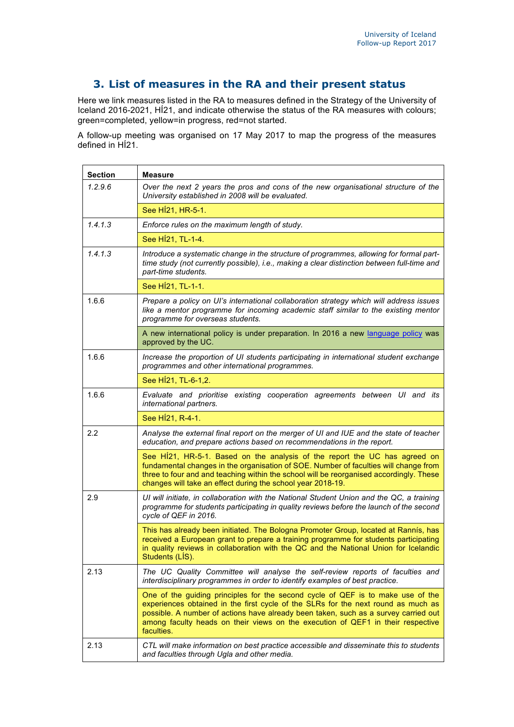# **3. List of measures in the RA and their present status**

Here we link measures listed in the RA to measures defined in the Strategy of the University of Iceland 2016-2021, HÍ21, and indicate otherwise the status of the RA measures with colours; green=completed, yellow=in progress, red=not started.

A follow-up meeting was organised on 17 May 2017 to map the progress of the measures defined in HÍ21.

| <b>Section</b> | Measure                                                                                                                                                                                                                                                                                                                                                      |
|----------------|--------------------------------------------------------------------------------------------------------------------------------------------------------------------------------------------------------------------------------------------------------------------------------------------------------------------------------------------------------------|
| 1.2.9.6        | Over the next 2 years the pros and cons of the new organisational structure of the<br>University established in 2008 will be evaluated.                                                                                                                                                                                                                      |
|                | See HÍ21, HR-5-1.                                                                                                                                                                                                                                                                                                                                            |
| 1.4.1.3        | Enforce rules on the maximum length of study.                                                                                                                                                                                                                                                                                                                |
|                | See HÍ21, TL-1-4.                                                                                                                                                                                                                                                                                                                                            |
| 1.4.1.3        | Introduce a systematic change in the structure of programmes, allowing for formal part-<br>time study (not currently possible), i.e., making a clear distinction between full-time and<br>part-time students.                                                                                                                                                |
|                | See HÍ21, TL-1-1.                                                                                                                                                                                                                                                                                                                                            |
| 1.6.6          | Prepare a policy on UI's international collaboration strategy which will address issues<br>like a mentor programme for incoming academic staff similar to the existing mentor<br>programme for overseas students.                                                                                                                                            |
|                | A new international policy is under preparation. In 2016 a new language policy was<br>approved by the UC.                                                                                                                                                                                                                                                    |
| 1.6.6          | Increase the proportion of UI students participating in international student exchange<br>programmes and other international programmes.                                                                                                                                                                                                                     |
|                | See H <sub>121</sub> , TL-6-1, 2.                                                                                                                                                                                                                                                                                                                            |
| 1.6.6          | Evaluate and prioritise existing cooperation agreements between UI and its<br>international partners.                                                                                                                                                                                                                                                        |
|                | See HÍ21, R-4-1.                                                                                                                                                                                                                                                                                                                                             |
| 2.2            | Analyse the external final report on the merger of UI and IUE and the state of teacher<br>education, and prepare actions based on recommendations in the report.                                                                                                                                                                                             |
|                | See H121, HR-5-1. Based on the analysis of the report the UC has agreed on<br>fundamental changes in the organisation of SOE. Number of faculties will change from<br>three to four and and teaching within the school will be reorganised accordingly. These<br>changes will take an effect during the school year 2018-19.                                 |
| 2.9            | UI will initiate, in collaboration with the National Student Union and the QC, a training<br>programme for students participating in quality reviews before the launch of the second<br>cycle of QEF in 2016.                                                                                                                                                |
|                | This has already been initiated. The Bologna Promoter Group, located at Rannís, has<br>received a European grant to prepare a training programme for students participating<br>in quality reviews in collaboration with the QC and the National Union for Icelandic<br>Students (LIS).                                                                       |
| 2.13           | The UC Quality Committee will analyse the self-review reports of faculties and<br>interdisciplinary programmes in order to identify examples of best practice.                                                                                                                                                                                               |
|                | One of the guiding principles for the second cycle of QEF is to make use of the<br>experiences obtained in the first cycle of the SLRs for the next round as much as<br>possible. A number of actions have already been taken, such as a survey carried out<br>among faculty heads on their views on the execution of QEF1 in their respective<br>faculties. |
| 2.13           | CTL will make information on best practice accessible and disseminate this to students<br>and faculties through Ugla and other media.                                                                                                                                                                                                                        |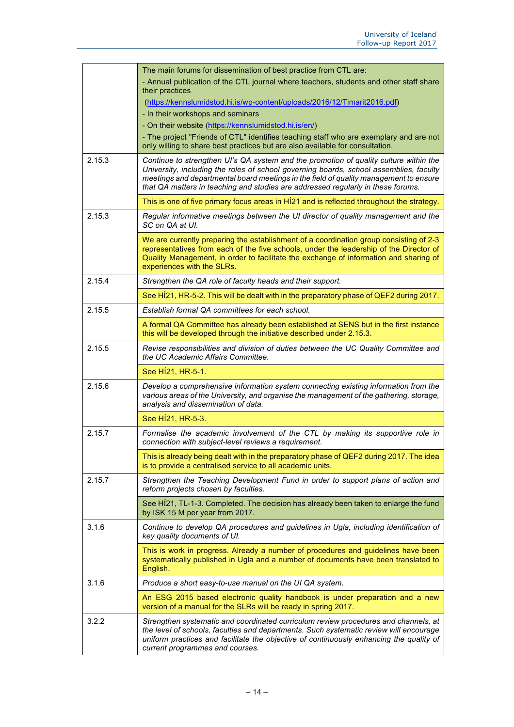|        | The main forums for dissemination of best practice from CTL are:                                                                                                                                                                                                                                                                                             |
|--------|--------------------------------------------------------------------------------------------------------------------------------------------------------------------------------------------------------------------------------------------------------------------------------------------------------------------------------------------------------------|
|        | - Annual publication of the CTL journal where teachers, students and other staff share<br>their practices                                                                                                                                                                                                                                                    |
|        | (https://kennslumidstod.hi.is/wp-content/uploads/2016/12/Timarit2016.pdf)                                                                                                                                                                                                                                                                                    |
|        | - In their workshops and seminars                                                                                                                                                                                                                                                                                                                            |
|        | - On their website (https://kennslumidstod.hi.is/en/)                                                                                                                                                                                                                                                                                                        |
|        | - The project "Friends of CTL" identifies teaching staff who are exemplary and are not<br>only willing to share best practices but are also available for consultation.                                                                                                                                                                                      |
| 2.15.3 | Continue to strengthen UI's QA system and the promotion of quality culture within the<br>University, including the roles of school governing boards, school assemblies, faculty<br>meetings and departmental board meetings in the field of quality management to ensure<br>that QA matters in teaching and studies are addressed regularly in these forums. |
|        | This is one of five primary focus areas in H121 and is reflected throughout the strategy.                                                                                                                                                                                                                                                                    |
| 2.15.3 | Regular informative meetings between the UI director of quality management and the<br>SC on QA at UI.                                                                                                                                                                                                                                                        |
|        | We are currently preparing the establishment of a coordination group consisting of 2-3<br>representatives from each of the five schools, under the leadership of the Director of<br>Quality Management, in order to facilitate the exchange of information and sharing of<br>experiences with the SLRs.                                                      |
| 2.15.4 | Strengthen the QA role of faculty heads and their support.                                                                                                                                                                                                                                                                                                   |
|        | See H121, HR-5-2. This will be dealt with in the preparatory phase of QEF2 during 2017.                                                                                                                                                                                                                                                                      |
| 2.15.5 | Establish formal QA committees for each school.                                                                                                                                                                                                                                                                                                              |
|        | A formal QA Committee has already been established at SENS but in the first instance<br>this will be developed through the initiative described under 2.15.3.                                                                                                                                                                                                |
| 2.15.5 | Revise responsibilities and division of duties between the UC Quality Committee and<br>the UC Academic Affairs Committee.                                                                                                                                                                                                                                    |
|        | See HÍ21, HR-5-1.                                                                                                                                                                                                                                                                                                                                            |
| 2.15.6 | Develop a comprehensive information system connecting existing information from the<br>various areas of the University, and organise the management of the gathering, storage,<br>analysis and dissemination of data.                                                                                                                                        |
|        | See H <sub>1</sub> 21, HR-5-3.                                                                                                                                                                                                                                                                                                                               |
| 2.15.7 | Formalise the academic involvement of the CTL by making its supportive role in<br>connection with subject-level reviews a requirement.                                                                                                                                                                                                                       |
|        | This is already being dealt with in the preparatory phase of QEF2 during 2017. The idea<br>is to provide a centralised service to all academic units.                                                                                                                                                                                                        |
| 2.15.7 | Strengthen the Teaching Development Fund in order to support plans of action and<br>reform projects chosen by faculties.                                                                                                                                                                                                                                     |
|        | See HI21, TL-1-3. Completed. The decision has already been taken to enlarge the fund<br>by ISK 15 M per year from 2017.                                                                                                                                                                                                                                      |
| 3.1.6  | Continue to develop QA procedures and guidelines in Ugla, including identification of<br>key quality documents of UI.                                                                                                                                                                                                                                        |
|        | This is work in progress. Already a number of procedures and guidelines have been<br>systematically published in Ugla and a number of documents have been translated to<br>English.                                                                                                                                                                          |
| 3.1.6  | Produce a short easy-to-use manual on the UI QA system.                                                                                                                                                                                                                                                                                                      |
|        | An ESG 2015 based electronic quality handbook is under preparation and a new<br>version of a manual for the SLRs will be ready in spring 2017.                                                                                                                                                                                                               |
| 3.2.2  | Strengthen systematic and coordinated curriculum review procedures and channels, at<br>the level of schools, faculties and departments. Such systematic review will encourage<br>uniform practices and facilitate the objective of continuously enhancing the quality of<br>current programmes and courses.                                                  |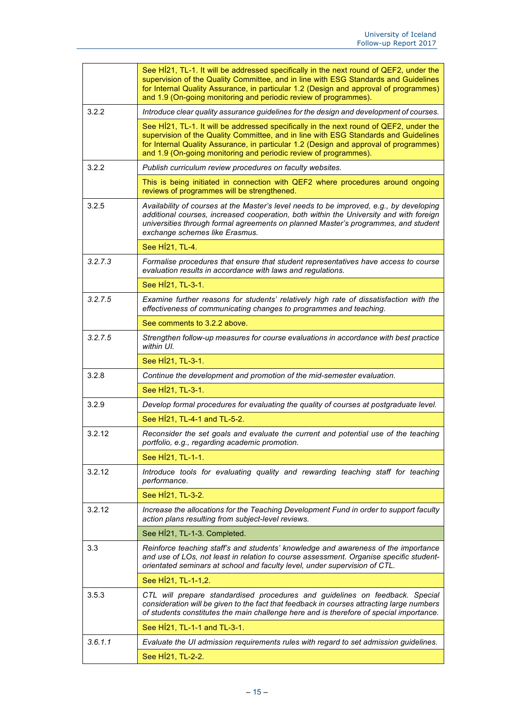|         | See HI21, TL-1. It will be addressed specifically in the next round of QEF2, under the<br>supervision of the Quality Committee, and in line with ESG Standards and Guidelines<br>for Internal Quality Assurance, in particular 1.2 (Design and approval of programmes)<br>and 1.9 (On-going monitoring and periodic review of programmes). |
|---------|--------------------------------------------------------------------------------------------------------------------------------------------------------------------------------------------------------------------------------------------------------------------------------------------------------------------------------------------|
| 3.2.2   | Introduce clear quality assurance guidelines for the design and development of courses.                                                                                                                                                                                                                                                    |
|         | See HÍ21, TL-1. It will be addressed specifically in the next round of QEF2, under the<br>supervision of the Quality Committee, and in line with ESG Standards and Guidelines<br>for Internal Quality Assurance, in particular 1.2 (Design and approval of programmes)<br>and 1.9 (On-going monitoring and periodic review of programmes). |
| 3.2.2   | Publish curriculum review procedures on faculty websites.                                                                                                                                                                                                                                                                                  |
|         | This is being initiated in connection with QEF2 where procedures around ongoing<br>reviews of programmes will be strengthened.                                                                                                                                                                                                             |
| 3.2.5   | Availability of courses at the Master's level needs to be improved, e.g., by developing<br>additional courses, increased cooperation, both within the University and with foreign<br>universities through formal agreements on planned Master's programmes, and student<br>exchange schemes like Erasmus.                                  |
|         | See HÍ21, TL-4.                                                                                                                                                                                                                                                                                                                            |
| 3.2.7.3 | Formalise procedures that ensure that student representatives have access to course<br>evaluation results in accordance with laws and regulations.                                                                                                                                                                                         |
|         | See HÍ21, TL-3-1.                                                                                                                                                                                                                                                                                                                          |
| 3.2.7.5 | Examine further reasons for students' relatively high rate of dissatisfaction with the<br>effectiveness of communicating changes to programmes and teaching.                                                                                                                                                                               |
|         | See comments to 3.2.2 above.                                                                                                                                                                                                                                                                                                               |
| 3.2.7.5 | Strengthen follow-up measures for course evaluations in accordance with best practice<br>within UI.                                                                                                                                                                                                                                        |
|         | See HÍ21, TL-3-1.                                                                                                                                                                                                                                                                                                                          |
| 3.2.8   | Continue the development and promotion of the mid-semester evaluation.                                                                                                                                                                                                                                                                     |
|         | See HÍ21, TL-3-1.                                                                                                                                                                                                                                                                                                                          |
| 3.2.9   | Develop formal procedures for evaluating the quality of courses at postgraduate level.                                                                                                                                                                                                                                                     |
|         | See HI21, TL-4-1 and TL-5-2.                                                                                                                                                                                                                                                                                                               |
| 3.2.12  | Reconsider the set goals and evaluate the current and potential use of the teaching<br>portfolio, e.g., regarding academic promotion.                                                                                                                                                                                                      |
|         | See HÍ21, TL-1-1.                                                                                                                                                                                                                                                                                                                          |
| 3.2.12  | Introduce tools for evaluating quality and rewarding teaching staff for teaching<br>performance.                                                                                                                                                                                                                                           |
|         | See HÍ21, TL-3-2.                                                                                                                                                                                                                                                                                                                          |
| 3.2.12  | Increase the allocations for the Teaching Development Fund in order to support faculty<br>action plans resulting from subject-level reviews.                                                                                                                                                                                               |
|         | See HÍ21, TL-1-3. Completed.                                                                                                                                                                                                                                                                                                               |
| 3.3     | Reinforce teaching staff's and students' knowledge and awareness of the importance<br>and use of LOs, not least in relation to course assessment. Organise specific student-<br>orientated seminars at school and faculty level, under supervision of CTL.                                                                                 |
|         | See HÍ21, TL-1-1,2.                                                                                                                                                                                                                                                                                                                        |
| 3.5.3   | CTL will prepare standardised procedures and guidelines on feedback. Special<br>consideration will be given to the fact that feedback in courses attracting large numbers<br>of students constitutes the main challenge here and is therefore of special importance.                                                                       |
|         | See HI21, TL-1-1 and TL-3-1.                                                                                                                                                                                                                                                                                                               |
| 3.6.1.1 | Evaluate the UI admission requirements rules with regard to set admission guidelines.                                                                                                                                                                                                                                                      |
|         | See H <sub>1</sub> 21, TL-2-2.                                                                                                                                                                                                                                                                                                             |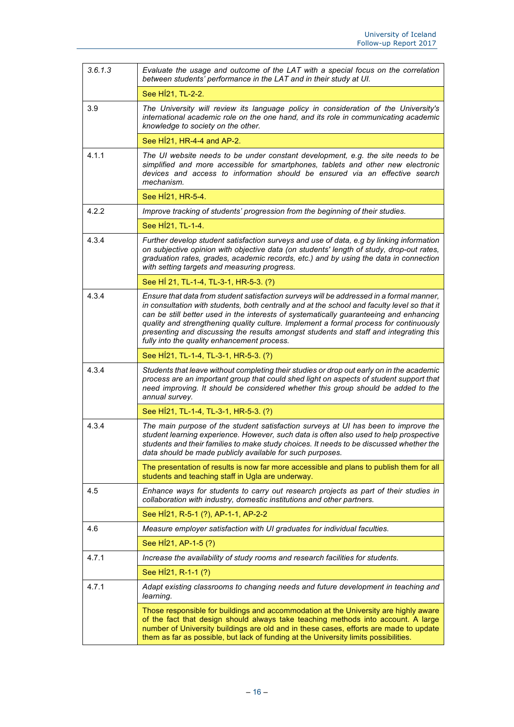| 3.6.1.3 | Evaluate the usage and outcome of the LAT with a special focus on the correlation<br>between students' performance in the LAT and in their study at UI.                                                                                                                                                                                                                                                                                                                                                              |
|---------|----------------------------------------------------------------------------------------------------------------------------------------------------------------------------------------------------------------------------------------------------------------------------------------------------------------------------------------------------------------------------------------------------------------------------------------------------------------------------------------------------------------------|
|         | See H <sub>1</sub> 21, TL-2-2.                                                                                                                                                                                                                                                                                                                                                                                                                                                                                       |
| 3.9     | The University will review its language policy in consideration of the University's<br>international academic role on the one hand, and its role in communicating academic<br>knowledge to society on the other.                                                                                                                                                                                                                                                                                                     |
|         | See H <sub>1</sub> 21, HR-4-4 and AP-2.                                                                                                                                                                                                                                                                                                                                                                                                                                                                              |
| 4.1.1   | The UI website needs to be under constant development, e.g. the site needs to be<br>simplified and more accessible for smartphones, tablets and other new electronic<br>devices and access to information should be ensured via an effective search<br>mechanism.                                                                                                                                                                                                                                                    |
|         | See HÍ21, HR-5-4.                                                                                                                                                                                                                                                                                                                                                                                                                                                                                                    |
| 4.2.2   | Improve tracking of students' progression from the beginning of their studies.                                                                                                                                                                                                                                                                                                                                                                                                                                       |
|         | See HÍ21, TL-1-4.                                                                                                                                                                                                                                                                                                                                                                                                                                                                                                    |
| 4.3.4   | Further develop student satisfaction surveys and use of data, e.g by linking information<br>on subjective opinion with objective data (on students' length of study, drop-out rates,<br>graduation rates, grades, academic records, etc.) and by using the data in connection<br>with setting targets and measuring progress.                                                                                                                                                                                        |
|         | See HI 21, TL-1-4, TL-3-1, HR-5-3. (?)                                                                                                                                                                                                                                                                                                                                                                                                                                                                               |
| 4.3.4   | Ensure that data from student satisfaction surveys will be addressed in a formal manner,<br>in consultation with students, both centrally and at the school and faculty level so that it<br>can be still better used in the interests of systematically guaranteeing and enhancing<br>quality and strengthening quality culture. Implement a formal process for continuously<br>presenting and discussing the results amongst students and staff and integrating this<br>fully into the quality enhancement process. |
|         | See Hi21, TL-1-4, TL-3-1, HR-5-3. (?)                                                                                                                                                                                                                                                                                                                                                                                                                                                                                |
| 4.3.4   | Students that leave without completing their studies or drop out early on in the academic<br>process are an important group that could shed light on aspects of student support that<br>need improving. It should be considered whether this group should be added to the<br>annual survey.                                                                                                                                                                                                                          |
|         | See HÍ21, TL-1-4, TL-3-1, HR-5-3. (?)                                                                                                                                                                                                                                                                                                                                                                                                                                                                                |
| 4.3.4   | The main purpose of the student satisfaction surveys at UI has been to improve the<br>student learning experience. However, such data is often also used to help prospective<br>students and their families to make study choices. It needs to be discussed whether the<br>data should be made publicly available for such purposes.                                                                                                                                                                                 |
|         | The presentation of results is now far more accessible and plans to publish them for all<br>students and teaching staff in Ugla are underway.                                                                                                                                                                                                                                                                                                                                                                        |
| 4.5     | Enhance ways for students to carry out research projects as part of their studies in<br>collaboration with industry, domestic institutions and other partners.                                                                                                                                                                                                                                                                                                                                                       |
|         | See H21, R-5-1 (?), AP-1-1, AP-2-2                                                                                                                                                                                                                                                                                                                                                                                                                                                                                   |
| 4.6     | Measure employer satisfaction with UI graduates for individual faculties.                                                                                                                                                                                                                                                                                                                                                                                                                                            |
|         | See HÍ21, AP-1-5 (?)                                                                                                                                                                                                                                                                                                                                                                                                                                                                                                 |
| 4.7.1   | Increase the availability of study rooms and research facilities for students.                                                                                                                                                                                                                                                                                                                                                                                                                                       |
|         | See H <sub>1</sub> 21, R-1-1 (?)                                                                                                                                                                                                                                                                                                                                                                                                                                                                                     |
| 4.7.1   | Adapt existing classrooms to changing needs and future development in teaching and<br>learning.                                                                                                                                                                                                                                                                                                                                                                                                                      |
|         | Those responsible for buildings and accommodation at the University are highly aware<br>of the fact that design should always take teaching methods into account. A large<br>number of University buildings are old and in these cases, efforts are made to update<br>them as far as possible, but lack of funding at the University limits possibilities.                                                                                                                                                           |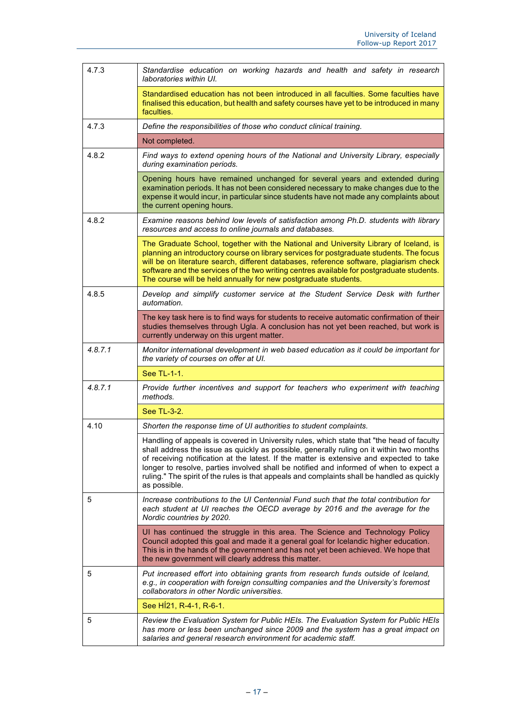| 4.7.3   | Standardise education on working hazards and health and safety in research<br>laboratories within UI.                                                                                                                                                                                                                                                                                                                                                                                        |
|---------|----------------------------------------------------------------------------------------------------------------------------------------------------------------------------------------------------------------------------------------------------------------------------------------------------------------------------------------------------------------------------------------------------------------------------------------------------------------------------------------------|
|         | Standardised education has not been introduced in all faculties. Some faculties have<br>finalised this education, but health and safety courses have yet to be introduced in many<br>faculties.                                                                                                                                                                                                                                                                                              |
| 4.7.3   | Define the responsibilities of those who conduct clinical training.                                                                                                                                                                                                                                                                                                                                                                                                                          |
|         | Not completed.                                                                                                                                                                                                                                                                                                                                                                                                                                                                               |
| 4.8.2   | Find ways to extend opening hours of the National and University Library, especially<br>during examination periods.                                                                                                                                                                                                                                                                                                                                                                          |
|         | Opening hours have remained unchanged for several years and extended during<br>examination periods. It has not been considered necessary to make changes due to the<br>expense it would incur, in particular since students have not made any complaints about<br>the current opening hours.                                                                                                                                                                                                 |
| 4.8.2   | Examine reasons behind low levels of satisfaction among Ph.D. students with library<br>resources and access to online journals and databases.                                                                                                                                                                                                                                                                                                                                                |
|         | The Graduate School, together with the National and University Library of Iceland, is<br>planning an introductory course on library services for postgraduate students. The focus<br>will be on literature search, different databases, reference software, plagiarism check<br>software and the services of the two writing centres available for postgraduate students.<br>The course will be held annually for new postgraduate students.                                                 |
| 4.8.5   | Develop and simplify customer service at the Student Service Desk with further<br>automation.                                                                                                                                                                                                                                                                                                                                                                                                |
|         | The key task here is to find ways for students to receive automatic confirmation of their<br>studies themselves through Ugla. A conclusion has not yet been reached, but work is<br>currently underway on this urgent matter.                                                                                                                                                                                                                                                                |
| 4.8.7.1 | Monitor international development in web based education as it could be important for<br>the variety of courses on offer at UI.                                                                                                                                                                                                                                                                                                                                                              |
|         | See TL-1-1.                                                                                                                                                                                                                                                                                                                                                                                                                                                                                  |
| 4.8.7.1 | Provide further incentives and support for teachers who experiment with teaching<br>methods.                                                                                                                                                                                                                                                                                                                                                                                                 |
|         | See TL-3-2.                                                                                                                                                                                                                                                                                                                                                                                                                                                                                  |
| 4.10    | Shorten the response time of UI authorities to student complaints.                                                                                                                                                                                                                                                                                                                                                                                                                           |
|         | Handling of appeals is covered in University rules, which state that "the head of faculty<br>shall address the issue as quickly as possible, generally ruling on it within two months  <br>of receiving notification at the latest. If the matter is extensive and expected to take<br>longer to resolve, parties involved shall be notified and informed of when to expect a<br>ruling." The spirit of the rules is that appeals and complaints shall be handled as quickly<br>as possible. |
| 5       | Increase contributions to the UI Centennial Fund such that the total contribution for<br>each student at UI reaches the OECD average by 2016 and the average for the<br>Nordic countries by 2020.                                                                                                                                                                                                                                                                                            |
|         | UI has continued the struggle in this area. The Science and Technology Policy<br>Council adopted this goal and made it a general goal for Icelandic higher education.<br>This is in the hands of the government and has not yet been achieved. We hope that<br>the new government will clearly address this matter.                                                                                                                                                                          |
| 5       | Put increased effort into obtaining grants from research funds outside of Iceland,<br>e.g., in cooperation with foreign consulting companies and the University's foremost<br>collaborators in other Nordic universities.                                                                                                                                                                                                                                                                    |
|         | See Hi21, R-4-1, R-6-1.                                                                                                                                                                                                                                                                                                                                                                                                                                                                      |
| 5       | Review the Evaluation System for Public HEIs. The Evaluation System for Public HEIs<br>has more or less been unchanged since 2009 and the system has a great impact on<br>salaries and general research environment for academic staff.                                                                                                                                                                                                                                                      |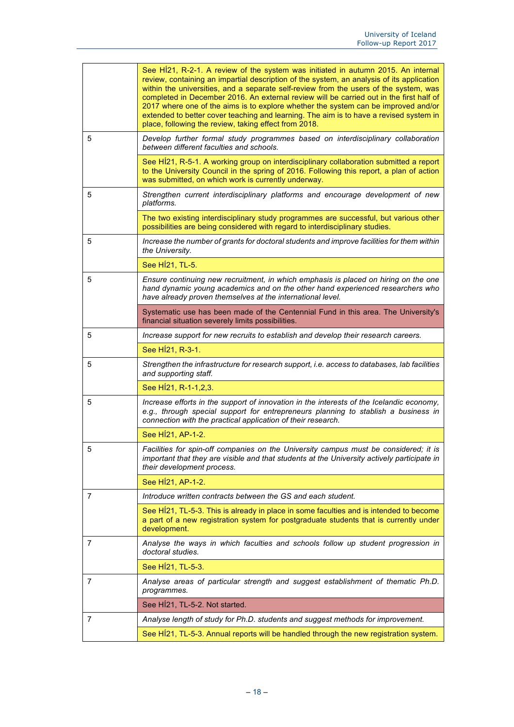|   | See H121, R-2-1. A review of the system was initiated in autumn 2015. An internal<br>review, containing an impartial description of the system, an analysis of its application<br>within the universities, and a separate self-review from the users of the system, was<br>completed in December 2016. An external review will be carried out in the first half of<br>2017 where one of the aims is to explore whether the system can be improved and/or<br>extended to better cover teaching and learning. The aim is to have a revised system in<br>place, following the review, taking effect from 2018. |
|---|-------------------------------------------------------------------------------------------------------------------------------------------------------------------------------------------------------------------------------------------------------------------------------------------------------------------------------------------------------------------------------------------------------------------------------------------------------------------------------------------------------------------------------------------------------------------------------------------------------------|
| 5 | Develop further formal study programmes based on interdisciplinary collaboration<br>between different faculties and schools.                                                                                                                                                                                                                                                                                                                                                                                                                                                                                |
|   | See H121, R-5-1. A working group on interdisciplinary collaboration submitted a report<br>to the University Council in the spring of 2016. Following this report, a plan of action<br>was submitted, on which work is currently underway.                                                                                                                                                                                                                                                                                                                                                                   |
| 5 | Strengthen current interdisciplinary platforms and encourage development of new<br>platforms.                                                                                                                                                                                                                                                                                                                                                                                                                                                                                                               |
|   | The two existing interdisciplinary study programmes are successful, but various other<br>possibilities are being considered with regard to interdisciplinary studies.                                                                                                                                                                                                                                                                                                                                                                                                                                       |
| 5 | Increase the number of grants for doctoral students and improve facilities for them within<br>the University.                                                                                                                                                                                                                                                                                                                                                                                                                                                                                               |
|   | See HÍ21, TL-5.                                                                                                                                                                                                                                                                                                                                                                                                                                                                                                                                                                                             |
| 5 | Ensure continuing new recruitment, in which emphasis is placed on hiring on the one<br>hand dynamic young academics and on the other hand experienced researchers who<br>have already proven themselves at the international level.                                                                                                                                                                                                                                                                                                                                                                         |
|   | Systematic use has been made of the Centennial Fund in this area. The University's<br>financial situation severely limits possibilities.                                                                                                                                                                                                                                                                                                                                                                                                                                                                    |
| 5 | Increase support for new recruits to establish and develop their research careers.                                                                                                                                                                                                                                                                                                                                                                                                                                                                                                                          |
|   | See H <sub>1</sub> 21, R-3-1.                                                                                                                                                                                                                                                                                                                                                                                                                                                                                                                                                                               |
| 5 | Strengthen the infrastructure for research support, i.e. access to databases, lab facilities<br>and supporting staff.                                                                                                                                                                                                                                                                                                                                                                                                                                                                                       |
|   | See HÍ21, R-1-1, 2, 3.                                                                                                                                                                                                                                                                                                                                                                                                                                                                                                                                                                                      |
| 5 | Increase efforts in the support of innovation in the interests of the Icelandic economy,<br>e.g., through special support for entrepreneurs planning to stablish a business in<br>connection with the practical application of their research.                                                                                                                                                                                                                                                                                                                                                              |
|   | See HÍ21, AP-1-2.                                                                                                                                                                                                                                                                                                                                                                                                                                                                                                                                                                                           |
| 5 | Facilities for spin-off companies on the University campus must be considered; it is<br>important that they are visible and that students at the University actively participate in<br>their development process.                                                                                                                                                                                                                                                                                                                                                                                           |
|   | See HÍ21, AP-1-2.                                                                                                                                                                                                                                                                                                                                                                                                                                                                                                                                                                                           |
| 7 | Introduce written contracts between the GS and each student.                                                                                                                                                                                                                                                                                                                                                                                                                                                                                                                                                |
|   | See HI21, TL-5-3. This is already in place in some faculties and is intended to become<br>a part of a new registration system for postgraduate students that is currently under<br>development.                                                                                                                                                                                                                                                                                                                                                                                                             |
| 7 | Analyse the ways in which faculties and schools follow up student progression in<br>doctoral studies.                                                                                                                                                                                                                                                                                                                                                                                                                                                                                                       |
|   | See HÍ21, TL-5-3.                                                                                                                                                                                                                                                                                                                                                                                                                                                                                                                                                                                           |
| 7 | Analyse areas of particular strength and suggest establishment of thematic Ph.D.<br>programmes.                                                                                                                                                                                                                                                                                                                                                                                                                                                                                                             |
|   | See HÍ21, TL-5-2. Not started.                                                                                                                                                                                                                                                                                                                                                                                                                                                                                                                                                                              |
| 7 | Analyse length of study for Ph.D. students and suggest methods for improvement.                                                                                                                                                                                                                                                                                                                                                                                                                                                                                                                             |
|   | See H121, TL-5-3. Annual reports will be handled through the new registration system.                                                                                                                                                                                                                                                                                                                                                                                                                                                                                                                       |